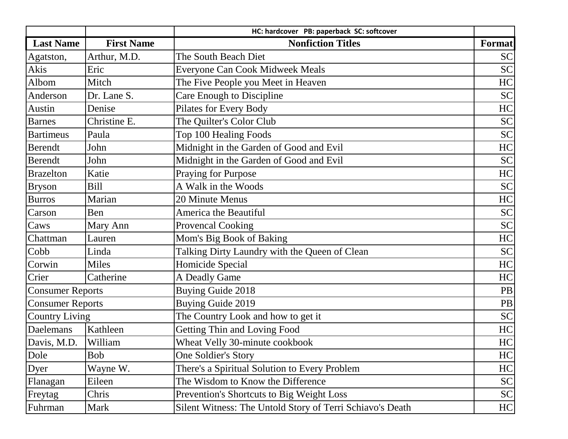|                         |                   | HC: hardcover PB: paperback SC: softcover                 |           |
|-------------------------|-------------------|-----------------------------------------------------------|-----------|
| <b>Last Name</b>        | <b>First Name</b> | <b>Nonfiction Titles</b>                                  | Format    |
| Agatston,               | Arthur, M.D.      | The South Beach Diet                                      | <b>SC</b> |
| Akis                    | Eric              | Everyone Can Cook Midweek Meals                           | <b>SC</b> |
| Albom                   | Mitch             | The Five People you Meet in Heaven                        | HC        |
| Anderson                | Dr. Lane S.       | Care Enough to Discipline                                 | <b>SC</b> |
| Austin                  | Denise            | Pilates for Every Body                                    | HC        |
| <b>Barnes</b>           | Christine E.      | The Quilter's Color Club                                  | <b>SC</b> |
| <b>Bartimeus</b>        | Paula             | Top 100 Healing Foods                                     | <b>SC</b> |
| <b>Berendt</b>          | John              | Midnight in the Garden of Good and Evil                   | HC        |
| <b>Berendt</b>          | John              | Midnight in the Garden of Good and Evil                   | <b>SC</b> |
| <b>Brazelton</b>        | Katie             | Praying for Purpose                                       | HC        |
| <b>Bryson</b>           | <b>Bill</b>       | A Walk in the Woods                                       | <b>SC</b> |
| <b>Burros</b>           | Marian            | 20 Minute Menus                                           | HC        |
| Carson                  | Ben               | America the Beautiful                                     | <b>SC</b> |
| Caws                    | Mary Ann          | <b>Provencal Cooking</b>                                  | <b>SC</b> |
| Chattman                | Lauren            | Mom's Big Book of Baking                                  | HC        |
| Cobb                    | Linda             | Talking Dirty Laundry with the Queen of Clean             | <b>SC</b> |
| Corwin                  | <b>Miles</b>      | Homicide Special                                          | HC        |
| Crier                   | Catherine         | A Deadly Game                                             | HC        |
| <b>Consumer Reports</b> |                   | <b>Buying Guide 2018</b>                                  | PB        |
| <b>Consumer Reports</b> |                   | <b>Buying Guide 2019</b>                                  | PB        |
| <b>Country Living</b>   |                   | The Country Look and how to get it                        | <b>SC</b> |
| Daelemans               | Kathleen          | <b>Getting Thin and Loving Food</b>                       | HC        |
| Davis, M.D.             | William           | Wheat Velly 30-minute cookbook                            | HC        |
| Dole                    | <b>Bob</b>        | One Soldier's Story                                       | HC        |
| Dyer                    | Wayne W.          | There's a Spiritual Solution to Every Problem             | HC        |
| Flanagan                | Eileen            | The Wisdom to Know the Difference                         | SC        |
| Freytag                 | Chris             | Prevention's Shortcuts to Big Weight Loss                 | SC        |
| Fuhrman                 | Mark              | Silent Witness: The Untold Story of Terri Schiavo's Death | HC        |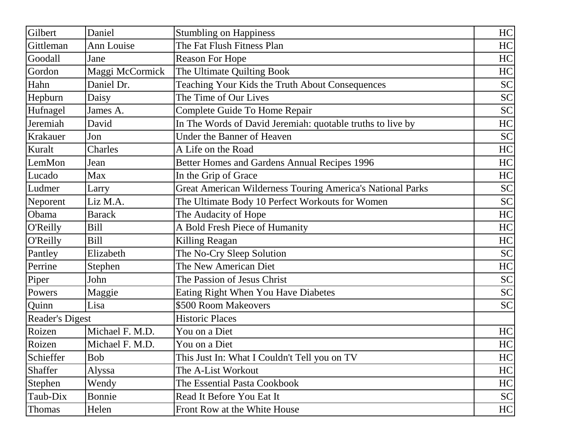| Gilbert                | Daniel          | <b>Stumbling on Happiness</b>                              | HC        |
|------------------------|-----------------|------------------------------------------------------------|-----------|
| Gittleman              | Ann Louise      | The Fat Flush Fitness Plan                                 | HC        |
| Goodall                | Jane            | <b>Reason For Hope</b>                                     | HC        |
| Gordon                 | Maggi McCormick | The Ultimate Quilting Book                                 | HC        |
| Hahn                   | Daniel Dr.      | Teaching Your Kids the Truth About Consequences            | <b>SC</b> |
| Hepburn                | Daisy           | The Time of Our Lives                                      | <b>SC</b> |
| Hufnagel               | James A.        | Complete Guide To Home Repair                              | <b>SC</b> |
| Jeremiah               | David           | In The Words of David Jeremiah: quotable truths to live by | HC        |
| Krakauer               | Jon             | <b>Under the Banner of Heaven</b>                          | <b>SC</b> |
| Kuralt                 | Charles         | A Life on the Road                                         | HC        |
| LemMon                 | Jean            | Better Homes and Gardens Annual Recipes 1996               | HC        |
| Lucado                 | Max             | In the Grip of Grace                                       | HC        |
| Ludmer                 | Larry           | Great American Wilderness Touring America's National Parks | <b>SC</b> |
| Neporent               | Liz M.A.        | The Ultimate Body 10 Perfect Workouts for Women            | <b>SC</b> |
| Obama                  | <b>Barack</b>   | The Audacity of Hope                                       | HC        |
| O'Reilly               | <b>Bill</b>     | A Bold Fresh Piece of Humanity                             | HC        |
| O'Reilly               | <b>Bill</b>     | Killing Reagan                                             | HC        |
| Pantley                | Elizabeth       | The No-Cry Sleep Solution                                  | <b>SC</b> |
| Perrine                | Stephen         | The New American Diet                                      | HC        |
| Piper                  | John            | The Passion of Jesus Christ                                | <b>SC</b> |
| Powers                 | Maggie          | Eating Right When You Have Diabetes                        | <b>SC</b> |
| Quinn                  | Lisa            | \$500 Room Makeovers                                       | <b>SC</b> |
| <b>Reader's Digest</b> |                 | <b>Historic Places</b>                                     |           |
| Roizen                 | Michael F. M.D. | You on a Diet                                              | HC        |
| Roizen                 | Michael F. M.D. | You on a Diet                                              | HC        |
| Schieffer              | <b>Bob</b>      | This Just In: What I Couldn't Tell you on TV               | HC        |
| Shaffer                | Alyssa          | The A-List Workout                                         | HC        |
| Stephen                | Wendy           | The Essential Pasta Cookbook                               | HC        |
| Taub-Dix               | Bonnie          | Read It Before You Eat It                                  | <b>SC</b> |
| <b>Thomas</b>          | Helen           | Front Row at the White House                               | HC        |